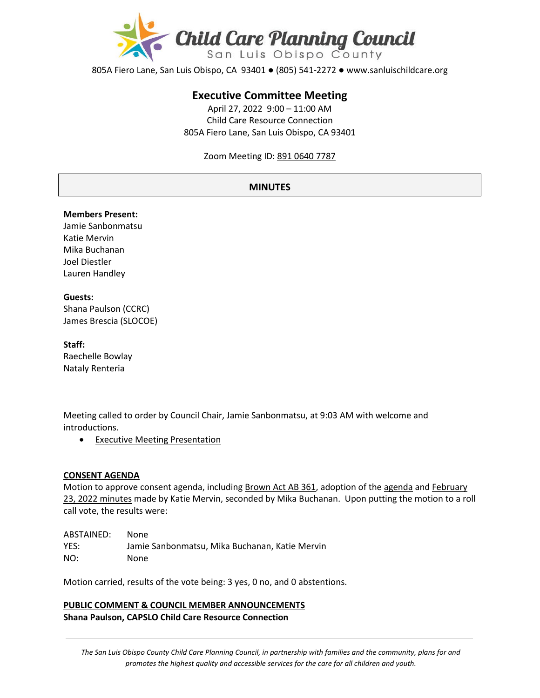

805A Fiero Lane, San Luis Obispo, CA 93401 ● (805) 541-2272 ● www.sanluischildcare.org

# **Executive Committee Meeting**

April 27, 2022 9:00 – 11:00 AM Child Care Resource Connection 805A Fiero Lane, San Luis Obispo, CA 93401

Zoom Meeting ID: [891 0640 7787](https://us02web.zoom.us/meeting/register/tZ0sd--srjwtEtMffZRe52V8AkfoxiDs5_Rx?_x_zm_rtaid=AEVVVYjaTHW8SY2292BQJA.1653589945739.57fead21b7790240227f7dc8d74fd7f2&_x_zm_rhtaid=952)

### **MINUTES**

#### **Members Present:**

Jamie Sanbonmatsu Katie Mervin Mika Buchanan Joel Diestler Lauren Handley

#### **Guests:**

Shana Paulson (CCRC) James Brescia (SLOCOE)

#### **Staff:**

Raechelle Bowlay Nataly Renteria

Meeting called to order by Council Chair, Jamie Sanbonmatsu, at 9:03 AM with welcome and introductions.

• [Executive Meeting Presentation](https://drive.google.com/file/d/17RMenvLPoZo65k4FX2Iya2x8jD7_89NF/view?usp=sharing)

#### **CONSENT AGENDA**

Motion to approve consent agenda, including **Brown Act AB 361**, adoption of th[e agenda](https://drive.google.com/file/d/1RcJRfwboA9K_IYvsO9eJMdg3CQNPgqAt/view?usp=sharing) and February [23, 2022](https://drive.google.com/file/d/15bbv56irS1YQdsRkOGWz5-e0gy4EO-L5/view?usp=sharing) minutes made by Katie Mervin, seconded by Mika Buchanan. Upon putting the motion to a roll call vote, the results were:

| ABSTAINED: | None.                                          |
|------------|------------------------------------------------|
| YES:       | Jamie Sanbonmatsu. Mika Buchanan. Katie Mervin |
| NO:        | None                                           |

Motion carried, results of the vote being: 3 yes, 0 no, and 0 abstentions.

**PUBLIC COMMENT & COUNCIL MEMBER ANNOUNCEMENTS Shana Paulson, CAPSLO Child Care Resource Connection**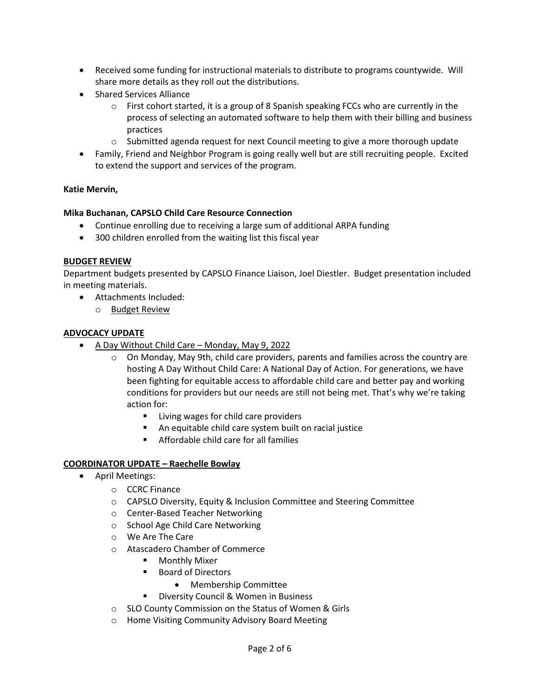- Received some funding for instructional materials to distribute to programs countywide. Will share more details as they roll out the distributions.
- Shared Services Alliance
	- $\circ$  First cohort started, it is a group of 8 Spanish speaking FCCs who are currently in the process of selecting an automated software to help them with their billing and business practices
	- $\circ$  Submitted agenda request for next Council meeting to give a more thorough update
- Family, Friend and Neighbor Program is going really well but are still recruiting people. Excited to extend the support and services of the program.

### **Katie Mervin,**

### **Mika Buchanan, CAPSLO Child Care Resource Connection**

- Continue enrolling due to receiving a large sum of additional ARPA funding
- 300 children enrolled from the waiting list this fiscal year

### **BUDGET REVIEW**

Department budgets presented by CAPSLO Finance Liaison, Joel Diestler. Budget presentation included in meeting materials.

- Attachments Included:
	- o [Budget Review](https://drive.google.com/file/d/1RLzf7ynZFNYIfoWj1Yj_rmclnzmPSYxC/view?usp=sharing)

### **ADVOCACY UPDATE**

- [A Day Without Child Care](https://communitychangeaction.org/childcare-may9/)  Monday, May 9, 2022
	- o [On Monday, May 9th, child care providers, parents and families across the country are](https://action.momsrising.org/sign/Child_Care_rapid_response/?eType=EmailBlastContent&eId=e65253fe-f0aa-44e9-9eea-6f2f03e81f66)  [hosting A Day Without Child Care: A National Day of Action. For generations, we have](https://action.momsrising.org/sign/Child_Care_rapid_response/?eType=EmailBlastContent&eId=e65253fe-f0aa-44e9-9eea-6f2f03e81f66)  [been fighting for equitable access to affordable child care and better pay and working](https://action.momsrising.org/sign/Child_Care_rapid_response/?eType=EmailBlastContent&eId=e65253fe-f0aa-44e9-9eea-6f2f03e81f66)  [conditions for providers but our needs are still not being met. That's why we're taking](https://action.momsrising.org/sign/Child_Care_rapid_response/?eType=EmailBlastContent&eId=e65253fe-f0aa-44e9-9eea-6f2f03e81f66)  [action for:](https://action.momsrising.org/sign/Child_Care_rapid_response/?eType=EmailBlastContent&eId=e65253fe-f0aa-44e9-9eea-6f2f03e81f66)
		- **EXEC** [Living wages for child care providers](https://action.momsrising.org/sign/Child_Care_rapid_response/?eType=EmailBlastContent&eId=e65253fe-f0aa-44e9-9eea-6f2f03e81f66)
		- [An equitable child care system built on racial justice](https://action.momsrising.org/sign/Child_Care_rapid_response/?eType=EmailBlastContent&eId=e65253fe-f0aa-44e9-9eea-6f2f03e81f66)
		- **EXECUTE:** [Affordable child care for all families](https://action.momsrising.org/sign/Child_Care_rapid_response/?eType=EmailBlastContent&eId=e65253fe-f0aa-44e9-9eea-6f2f03e81f66)

### **COORDINATOR UPDATE – Raechelle Bowlay**

- April Meetings:
	- o CCRC Finance
	- o CAPSLO Diversity, Equity & Inclusion Committee and Steering Committee
	- o Center-Based Teacher Networking
	- o School Age Child Care Networking
	- o We Are The Care
	- o Atascadero Chamber of Commerce
		- **Monthly Mixer**
		- Board of Directors
			- Membership Committee
		- **Diversity Council & Women in Business**
	- o SLO County Commission on the Status of Women & Girls
	- o Home Visiting Community Advisory Board Meeting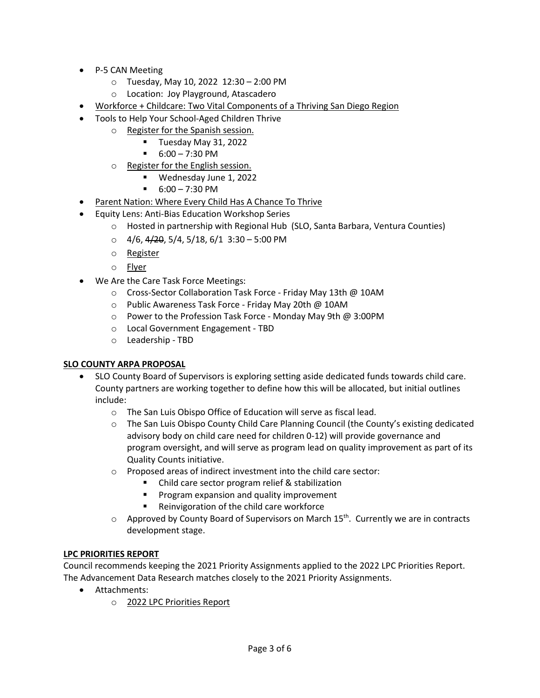- P-5 CAN Meeting
	- o Tuesday, May 10, 2022 12:30 2:00 PM
	- o Location: Joy Playground, Atascadero
- [Workforce + Childcare: Two Vital Components of a Thriving San Diego Reg](https://childcare.workforce.org/?utm_source=canva&utm_medium=iframely)ion
- Tools to Help Your School-Aged Children Thrive
	- o [Register for the Spanish session.](http://events.r20.constantcontact.com/register/event?llr=bkpo6zqab&oeidk=a07eizxvxd15cd81a43)
		- **Tuesday May 31, 2022**
		- $-6:00 7:30 \text{ PM}$
	- o [Register for the English session.](http://events.r20.constantcontact.com/register/event?llr=bkpo6zqab&oeidk=a07ej5923hd9a4c9ffa)
		- Wednesday June 1, 2022
		- 6:00 7:30 PM
- [Parent Nation: Where Every Child Has A Chance To Thrive](https://parentnation.org/)
- Equity Lens: Anti-Bias Education Workshop Series
	- o Hosted in partnership with Regional Hub (SLO, Santa Barbara, Ventura Counties)
	- $\circ$  4/6, 4/20, 5/4, 5/18, 6/1 3:30 5:00 PM
	- o [Register](https://us02web.zoom.us/meeting/register/tZUlcuyurD8jE90Mjui1V7V-IVzkE1fKMEpZ)
	- o [Flyer](https://drive.google.com/file/d/1pQNPQA9z6wPkbOIBAItrEAyPx4pCNFba/view?usp=sharing)
- We Are the Care Task Force Meetings:
	- o Cross-Sector Collaboration Task Force Friday May 13th @ 10AM
	- o Public Awareness Task Force Friday May 20th @ 10AM
	- o Power to the Profession Task Force Monday May 9th @ 3:00PM
	- o Local Government Engagement TBD
	- o Leadership TBD

# **SLO COUNTY ARPA PROPOSAL**

- SLO County Board of Supervisors is exploring setting aside dedicated funds towards child care. County partners are working together to define how this will be allocated, but initial outlines include:
	- o The San Luis Obispo Office of Education will serve as fiscal lead.
	- o The San Luis Obispo County Child Care Planning Council (the County's existing dedicated advisory body on child care need for children 0-12) will provide governance and program oversight, and will serve as program lead on quality improvement as part of its Quality Counts initiative.
	- o Proposed areas of indirect investment into the child care sector:
		- Child care sector program relief & stabilization
		- **Program expansion and quality improvement**
		- Reinvigoration of the child care workforce
	- $\circ$  Approved by County Board of Supervisors on March 15<sup>th</sup>. Currently we are in contracts development stage.

# **LPC PRIORITIES REPORT**

Council recommends keeping the 2021 Priority Assignments applied to the 2022 LPC Priorities Report. The Advancement Data Research matches closely to the 2021 Priority Assignments.

- Attachments:
	- o [2022 LPC Priorities Report](https://drive.google.com/file/d/1IDfwD5vRI0hOufi3P9eu47939CI0V48g/view?usp=sharing)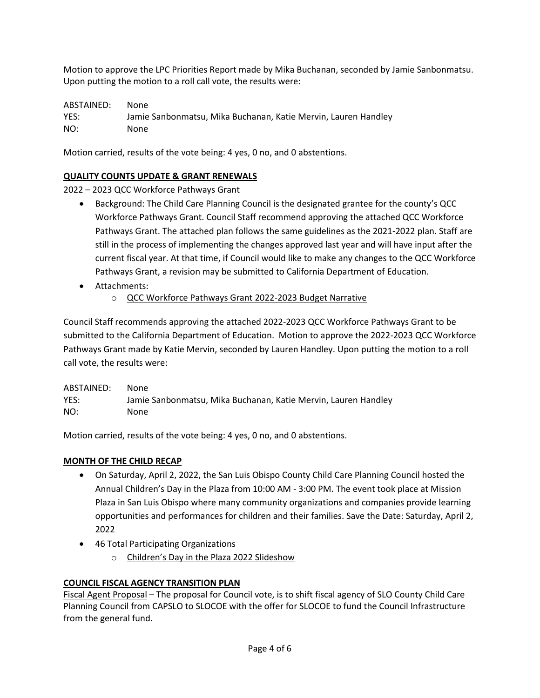Motion to approve the LPC Priorities Report made by Mika Buchanan, seconded by Jamie Sanbonmatsu. Upon putting the motion to a roll call vote, the results were:

ABSTAINED: None YES: Jamie Sanbonmatsu, Mika Buchanan, Katie Mervin, Lauren Handley NO: None

Motion carried, results of the vote being: 4 yes, 0 no, and 0 abstentions.

# **QUALITY COUNTS UPDATE & GRANT RENEWALS**

2022 – 2023 QCC Workforce Pathways Grant

- Background: The Child Care Planning Council is the designated grantee for the county's QCC Workforce Pathways Grant. Council Staff recommend approving the attached QCC Workforce Pathways Grant. The attached plan follows the same guidelines as the 2021-2022 plan. Staff are still in the process of implementing the changes approved last year and will have input after the current fiscal year. At that time, if Council would like to make any changes to the QCC Workforce Pathways Grant, a revision may be submitted to California Department of Education.
- Attachments:
	- o [QCC Workforce Pathways Grant 2022](https://drive.google.com/file/d/1iI7f5VlOyzsJYPpYJ_-99nrhj-WM1iyQ/view?usp=sharing)-2023 Budget Narrative

Council Staff recommends approving the attached 2022-2023 QCC Workforce Pathways Grant to be submitted to the California Department of Education. Motion to approve the 2022-2023 QCC Workforce Pathways Grant made by Katie Mervin, seconded by Lauren Handley. Upon putting the motion to a roll call vote, the results were:

ABSTAINED: None YES: Jamie Sanbonmatsu, Mika Buchanan, Katie Mervin, Lauren Handley NO: None

Motion carried, results of the vote being: 4 yes, 0 no, and 0 abstentions.

# **MONTH OF THE CHILD RECAP**

- On Saturday, April 2, 2022, the San Luis Obispo County Child Care Planning Council hosted the Annual Children's Day in the Plaza from 10:00 AM - 3:00 PM. The event took place at Mission Plaza in San Luis Obispo where many community organizations and companies provide learning opportunities and performances for children and their families. Save the Date: Saturday, April 2, 2022
- 46 Total Participating Organizations
	- o [Children's Day in the Plaza 2022 Slideshow](https://www.canva.com/design/DAE88HvOvfk/watch?utm_content=DAE88HvOvfk&utm_campaign=designshare&utm_medium=link&utm_source=publishsharelink)

# **COUNCIL FISCAL AGENCY TRANSITION PLAN**

[Fiscal Agent Proposal](http://www.sanluischildcare.org/fiscal-agent-proposal.html) – The proposal for Council vote, is to shift fiscal agency of SLO County Child Care Planning Council from CAPSLO to SLOCOE with the offer for SLOCOE to fund the Council Infrastructure from the general fund.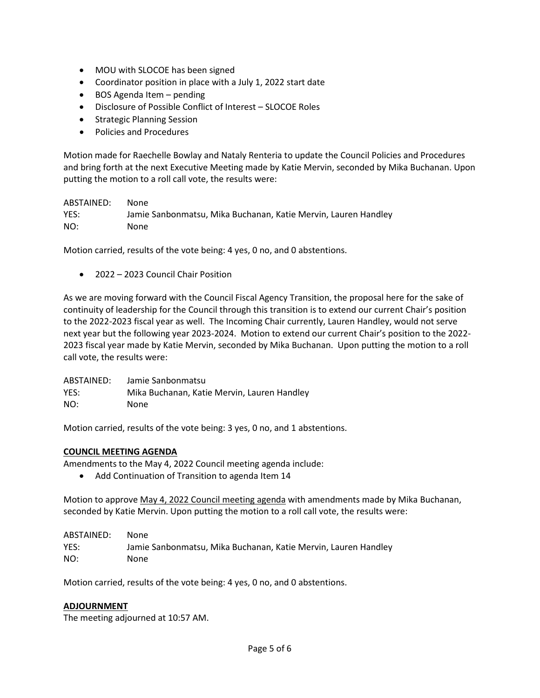- MOU with SLOCOE has been signed
- Coordinator position in place with a July 1, 2022 start date
- BOS Agenda Item pending
- Disclosure of Possible Conflict of Interest SLOCOE Roles
- Strategic Planning Session
- Policies and Procedures

Motion made for Raechelle Bowlay and Nataly Renteria to update the Council Policies and Procedures and bring forth at the next Executive Meeting made by Katie Mervin, seconded by Mika Buchanan. Upon putting the motion to a roll call vote, the results were:

# ABSTAINED: None YES: Jamie Sanbonmatsu, Mika Buchanan, Katie Mervin, Lauren Handley NO: None

Motion carried, results of the vote being: 4 yes, 0 no, and 0 abstentions.

• 2022 – 2023 Council Chair Position

As we are moving forward with the Council Fiscal Agency Transition, the proposal here for the sake of continuity of leadership for the Council through this transition is to extend our current Chair's position to the 2022-2023 fiscal year as well. The Incoming Chair currently, Lauren Handley, would not serve next year but the following year 2023-2024. Motion to extend our current Chair's position to the 2022- 2023 fiscal year made by Katie Mervin, seconded by Mika Buchanan. Upon putting the motion to a roll call vote, the results were:

| ABSTAINED: | Jamie Sanbonmatsu                           |
|------------|---------------------------------------------|
| YES:       | Mika Buchanan, Katie Mervin, Lauren Handley |
| NO:        | None                                        |

Motion carried, results of the vote being: 3 yes, 0 no, and 1 abstentions.

### **COUNCIL MEETING AGENDA**

Amendments to the May 4, 2022 Council meeting agenda include:

• Add Continuation of Transition to agenda Item 14

Motion to approve May 4, 2022 [Council meeting agenda](https://drive.google.com/file/d/1OnYt8q8lGSAVihZUVq4KBrpbzrMoAWwQ/view?usp=sharing) with amendments made by Mika Buchanan, seconded by Katie Mervin. Upon putting the motion to a roll call vote, the results were:

| ABSTAINED: | None.                                                          |
|------------|----------------------------------------------------------------|
| YES:       | Jamie Sanbonmatsu, Mika Buchanan, Katie Mervin, Lauren Handley |
| NO:        | None                                                           |

Motion carried, results of the vote being: 4 yes, 0 no, and 0 abstentions.

### **ADJOURNMENT**

The meeting adjourned at 10:57 AM.